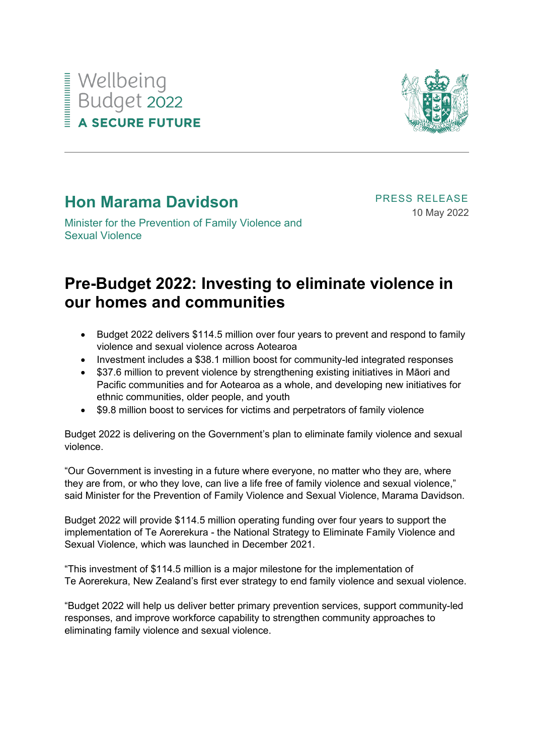## Wellbeing<br>Budget 2022<br>A SECURE FUTU **A SECURE FUTURE**



## **Hon Marama Davidson**

PRESS RELEASE 10 May 2022

Minister for the Prevention of Family Violence and Sexual Violence

## **Pre-Budget 2022: Investing to eliminate violence in our homes and communities**

- Budget 2022 delivers \$114.5 million over four years to prevent and respond to family violence and sexual violence across Aotearoa
- Investment includes a \$38.1 million boost for community-led integrated responses
- \$37.6 million to prevent violence by strengthening existing initiatives in Māori and Pacific communities and for Aotearoa as a whole, and developing new initiatives for ethnic communities, older people, and youth
- \$9.8 million boost to services for victims and perpetrators of family violence

Budget 2022 is delivering on the Government's plan to eliminate family violence and sexual violence.

"Our Government is investing in a future where everyone, no matter who they are, where they are from, or who they love, can live a life free of family violence and sexual violence," said Minister for the Prevention of Family Violence and Sexual Violence, Marama Davidson.

Budget 2022 will provide \$114.5 million operating funding over four years to support the implementation of Te Aorerekura - the National Strategy to Eliminate Family Violence and Sexual Violence, which was launched in December 2021.

"This investment of \$114.5 million is a major milestone for the implementation of Te Aorerekura, New Zealand's first ever strategy to end family violence and sexual violence.

"Budget 2022 will help us deliver better primary prevention services, support community-led responses, and improve workforce capability to strengthen community approaches to eliminating family violence and sexual violence.